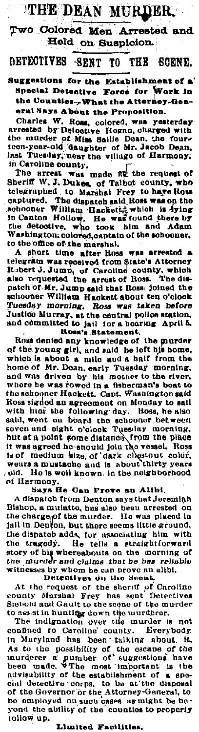## THE DEAN MURDER.

Two Colored Men Arrested and Held on Suspicion.

## **DETECTIVES** -SENT TO THE SCENE.

Suggestions for the Establishment of a' Special Detective Force for Work in the Counties-What the Attorney-General Says About the Proposition.

erate any a noont the *r* representation.<br>Charles W. Rome, colored, was yesterday<br>arrested by Detective Hogan, charly stiff the murder of Miss Salile Dean, the four-<br>teen-year-old daughter of Mr. Jacob Dean,<br>hast Tuesday, in Caroline county.

The arcent was made it the request of<br>Sheriff W, J, Dukes, of Taibot county, who<br>telegraphed to Marshal Frey to have Ross celearmples. to Marshal Frey to may note<br>captured. The dispatch said, Ross was on the<br>achooner William Hackettra which is dying<br>in Canton Hollow. He was found there by<br>the detective, who took him and Adam Washington, colored, captain of the schooner, to the office of the marshal.

A short time after Hoss was arrested a<br>telegram was received from State's Attorney Robert J. Jump, of Caroline county, which<br>also requested the arrest of Ross. The dis-<br>patch of Mr. Jump said that Ross. joined the schooner William Hackett about ten o'clock Justice Murray, at the central police station,<br>and committed to jail for a hearing April 5.<br>Rosa's Statement.

Ross denied any knowledge of the guidence<br>of the young girl, and said he left his home,<br>which is about a mile and a half from the<br>home of Mr. Dean, early Tuesday morning,<br>and was driven by his mother to the river,<br>and was where he was rowed in a fisherman's boat to the schooner Hackett, Capt. Washington said Ross signod an agreement on Monday to sail some and the following day. Hoss, he also<br>said, went on board the schooner between<br>seven and eight o'clock Tuesday morning, but at a point some distance. Irom the place it was agreed to shape of dark closen at color.<br>Wenrs a mustache and is about thirty years<br>venrs a mustache and is about thirty years<br>old. He is well known in the neighborhood old. of Harmony

Says He-Can Prove an Alibi. A dispatch from Denton says that Jeremiah Bishop, a mulatto, has also been arrested on<br>the charge of the murder. He was placed in jail in Denton, but there seems little ground, the dispatch adds, for associating him with the tragedy. He tells a straightforward<br>story of his whereabouts on the morning of<br>the murder and claims that be bes reliable

the murder and ciains that he has echo-<br>witnesses by whom he can prove an alibit.<br>Detectives on the sheriff of Caroline<br>county Marshal Frey has sent Detectives<br>Siebold and Gault to the some of the murder to ass at in hunting down the murderer.

The indignation over the murder is not The indignation over the interest in notice on the conduct of the conduct of the scale of the murder r pumber of the murder of the murder of the been made. When must be a beam of the scale of the scale and the been made. W cial detective corps, to be at the disposal of the Governor or the Attorney-General, to<br>be employed on such cases as might be beyond the ability of the counties to properly tollow up.

## Limited Facilities.